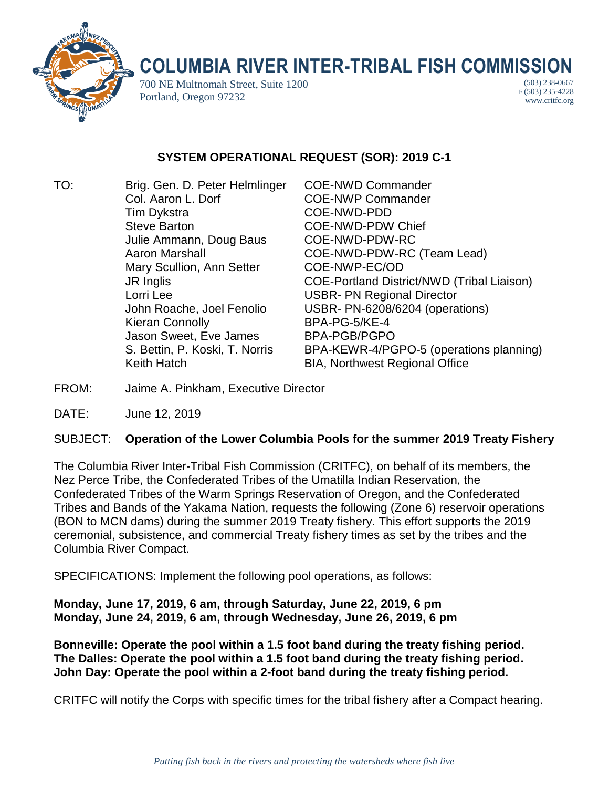

## **COLUMBIA RIVER INTER-TRIBAL FISH COMMISSION**

700 NE Multnomah Street, Suite 1200 Portland, Oregon 97232

(503) 238-0667 F (503) 235-4228 www.critfc.org

## **SYSTEM OPERATIONAL REQUEST (SOR): 2019 C-1**

TO: Brig. Gen. D. Peter Helmlinger COE-NWD Commander Col. Aaron L. Dorf COE-NWP Commander Tim Dykstra COE-NWD-PDD Steve Barton **COE-NWD-PDW Chief** Julie Ammann, Doug Baus COE-NWD-PDW-RC Mary Scullion, Ann Setter COE-NWP-EC/OD Lorri Lee **USBR- PN Regional Director** Kieran Connolly BPA-PG-5/KE-4 Jason Sweet, Eve James BPA-PGB/PGPO

Aaron Marshall COE-NWD-PDW-RC (Team Lead) JR Inglis COE-Portland District/NWD (Tribal Liaison) John Roache, Joel Fenolio USBR- PN-6208/6204 (operations) S. Bettin, P. Koski, T. Norris BPA-KEWR-4/PGPO-5 (operations planning) Keith Hatch BIA, Northwest Regional Office

- FROM: Jaime A. Pinkham, Executive Director
- DATE: June 12, 2019

## SUBJECT: **Operation of the Lower Columbia Pools for the summer 2019 Treaty Fishery**

The Columbia River Inter-Tribal Fish Commission (CRITFC), on behalf of its members, the Nez Perce Tribe, the Confederated Tribes of the Umatilla Indian Reservation, the Confederated Tribes of the Warm Springs Reservation of Oregon, and the Confederated Tribes and Bands of the Yakama Nation, requests the following (Zone 6) reservoir operations (BON to MCN dams) during the summer 2019 Treaty fishery. This effort supports the 2019 ceremonial, subsistence, and commercial Treaty fishery times as set by the tribes and the Columbia River Compact.

SPECIFICATIONS: Implement the following pool operations, as follows:

**Monday, June 17, 2019, 6 am, through Saturday, June 22, 2019, 6 pm Monday, June 24, 2019, 6 am, through Wednesday, June 26, 2019, 6 pm**

**Bonneville: Operate the pool within a 1.5 foot band during the treaty fishing period. The Dalles: Operate the pool within a 1.5 foot band during the treaty fishing period. John Day: Operate the pool within a 2-foot band during the treaty fishing period.**

CRITFC will notify the Corps with specific times for the tribal fishery after a Compact hearing.